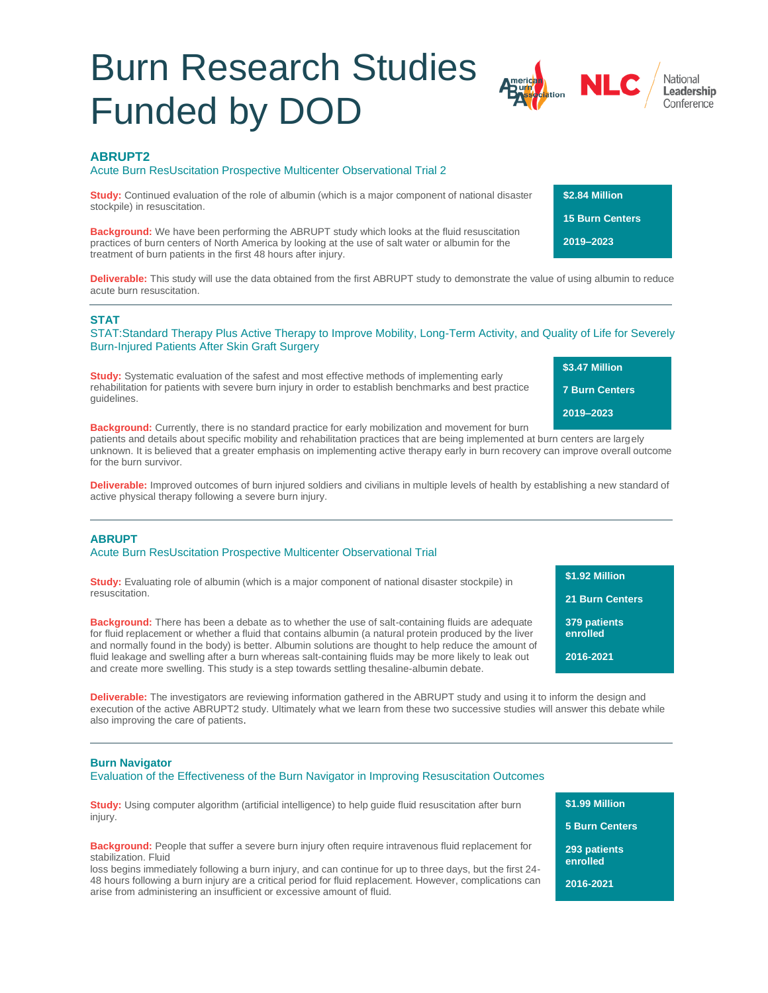# Burn Research Studies Funded by DOD



**\$2.84 Million 15 Burn Centers** 

**2019–2023** 

# **ABRUPT2**

#### Acute Burn ResUscitation Prospective Multicenter Observational Trial 2

**Study:** Continued evaluation of the role of albumin (which is a major component of national disaster stockpile) in resuscitation.

**Background:** We have been performing the ABRUPT study which looks at the fluid resuscitation practices of burn centers of North America by looking at the use of salt water or albumin for the treatment of burn patients in the first 48 hours after injury.

**Deliverable:** This study will use the data obtained from the first ABRUPT study to demonstrate the value of using albumin to reduce acute burn resuscitation.

# **STAT**

STAT:Standard Therapy Plus Active Therapy to Improve Mobility, Long-Term Activity, and Quality of Life for Severely Burn-Injured Patients After Skin Graft Surgery

**Study:** Systematic evaluation of the safest and most effective methods of implementing early rehabilitation for patients with severe burn injury in order to establish benchmarks and best practice guidelines.

**\$3.47 Million 7 Burn Centers 2019–2023** 

**Background:** Currently, there is no standard practice for early mobilization and movement for burn patients and details about specific mobility and rehabilitation practices that are being implemented at burn centers are largely unknown. It is believed that a greater emphasis on implementing active therapy early in burn recovery can improve overall outcome for the burn survivor.

**Deliverable:** Improved outcomes of burn injured soldiers and civilians in multiple levels of health by establishing a new standard of active physical therapy following a severe burn injury.

# **ABRUPT**

# Acute Burn ResUscitation Prospective Multicenter Observational Trial

**Study:** Evaluating role of albumin (which is a major component of national disaster stockpile) in resuscitation.

**Background:** There has been a debate as to whether the use of salt-containing fluids are adequate for fluid replacement or whether a fluid that contains albumin (a natural protein produced by the liver and normally found in the body) is better. Albumin solutions are thought to help reduce the amount of fluid leakage and swelling after a burn whereas salt-containing fluids may be more likely to leak out and create more swelling. This study is a step towards settling thesaline-albumin debate.

**Deliverable:** The investigators are reviewing information gathered in the ABRUPT study and using it to inform the design and execution of the active ABRUPT2 study. Ultimately what we learn from these two successive studies will answer this debate while also improving the care of patients.

#### **Burn Navigator**

#### Evaluation of the Effectiveness of the Burn Navigator in Improving Resuscitation Outcomes

**Study:** Using computer algorithm (artificial intelligence) to help quide fluid resuscitation after burn injury.

**Background:** People that suffer a severe burn injury often require intravenous fluid replacement for stabilization. Fluid

loss begins immediately following a burn injury, and can continue for up to three days, but the first 24- 48 hours following a burn injury are a critical period for fluid replacement. However, complications can arise from administering an insufficient or excessive amount of fluid.

**\$1.99 Million**

**5 Burn Centers**

**293 patients** 

**2016-2021**

**\$1.92 Million**

**21 Burn Centers**

**379 patients enrolled 2016-2021**

**enrolled**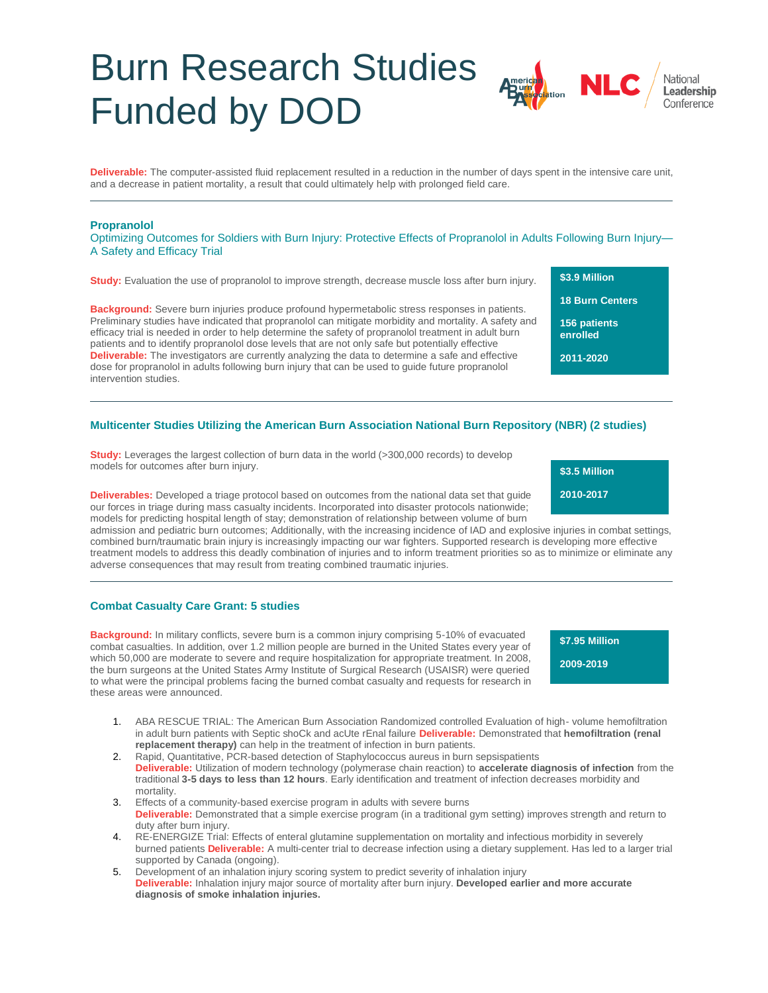# Burn Research Studies Funded by DOD

**Deliverable:** The computer-assisted fluid replacement resulted in a reduction in the number of days spent in the intensive care unit, and a decrease in patient mortality, a result that could ultimately help with prolonged field care.

### **Propranolol**

Optimizing Outcomes for Soldiers with Burn Injury: Protective Effects of Propranolol in Adults Following Burn Injury— A Safety and Efficacy Trial

**Study:** Evaluation the use of propranolol to improve strength, decrease muscle loss after burn injury.

**Background:** Severe burn injuries produce profound hypermetabolic stress responses in patients. Preliminary studies have indicated that propranolol can mitigate morbidity and mortality. A safety and efficacy trial is needed in order to help determine the safety of propranolol treatment in adult burn patients and to identify propranolol dose levels that are not only safe but potentially effective **Deliverable:** The investigators are currently analyzing the data to determine a safe and effective dose for propranolol in adults following burn injury that can be used to guide future propranolol intervention studies.

**18 Burn Centers 156 patients enrolled**

**\$3.9 Million**

**2011-2020**

# **Multicenter Studies Utilizing the American Burn Association National Burn Repository (NBR) (2 studies)**

**Study:** Leverages the largest collection of burn data in the world (>300,000 records) to develop models for outcomes after burn injury.

**Deliverables:** Developed a triage protocol based on outcomes from the national data set that guide our forces in triage during mass casualty incidents. Incorporated into disaster protocols nationwide; models for predicting hospital length of stay; demonstration of relationship between volume of burn

admission and pediatric burn outcomes; Additionally, with the increasing incidence of IAD and explosive injuries in combat settings, combined burn/traumatic brain injury is increasingly impacting our war fighters. Supported research is developing more effective treatment models to address this deadly combination of injuries and to inform treatment priorities so as to minimize or eliminate any adverse consequences that may result from treating combined traumatic injuries.

### **Combat Casualty Care Grant: 5 studies**

**Background:** In military conflicts, severe burn is a common injury comprising 5-10% of evacuated combat casualties. In addition, over 1.2 million people are burned in the United States every year of which 50,000 are moderate to severe and require hospitalization for appropriate treatment. In 2008, the burn surgeons at the United States Army Institute of Surgical Research (USAISR) were queried to what were the principal problems facing the burned combat casualty and requests for research in these areas were announced.

**\$7.95 Million 2009-2019**

- 1. ABA RESCUE TRIAL: The American Burn Association Randomized controlled Evaluation of high- volume hemofiltration in adult burn patients with Septic shoCk and acUte rEnal failure **Deliverable:** Demonstrated that **hemofiltration (renal replacement therapy)** can help in the treatment of infection in burn patients.
- 2. Rapid, Quantitative, PCR-based detection of Staphylococcus aureus in burn sepsispatients **Deliverable:** Utilization of modern technology (polymerase chain reaction) to **accelerate diagnosis of infection** from the traditional **3-5 days to less than 12 hours**. Early identification and treatment of infection decreases morbidity and mortality.
- 3. Effects of a community-based exercise program in adults with severe burns **Deliverable:** Demonstrated that a simple exercise program (in a traditional gym setting) improves strength and return to duty after burn injury.
- 4. RE-ENERGIZE Trial: Effects of enteral glutamine supplementation on mortality and infectious morbidity in severely burned patients **Deliverable:** A multi-center trial to decrease infection using a dietary supplement. Has led to a larger trial supported by Canada (ongoing).
- 5. Development of an inhalation injury scoring system to predict severity of inhalation injury **Deliverable:** Inhalation injury major source of mortality after burn injury. **Developed earlier and more accurate diagnosis of smoke inhalation injuries.**

**\$3.5 Million 2010-2017**